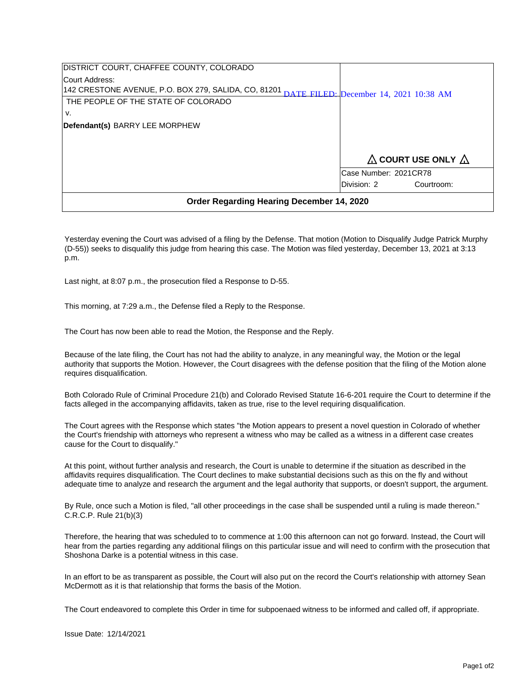| DISTRICT COURT, CHAFFEE COUNTY, COLORADO             |                                        |            |
|------------------------------------------------------|----------------------------------------|------------|
| ICourt Address:                                      |                                        |            |
| 142 CRESTONE AVENUE, P.O. BOX 279, SALIDA, CO, 81201 | DATE FILED: December 14, 2021 10:38 AM |            |
| THE PEOPLE OF THE STATE OF COLORADO                  |                                        |            |
| v.                                                   |                                        |            |
| Defendant(s) BARRY LEE MORPHEW                       |                                        |            |
|                                                      |                                        |            |
|                                                      |                                        |            |
|                                                      | $\Delta$ COURT USE ONLY $\Delta$       |            |
|                                                      | Case Number: 2021CR78                  |            |
|                                                      | Division: 2                            | Courtroom: |
| <b>Order Regarding Hearing December 14, 2020</b>     |                                        |            |

Yesterday evening the Court was advised of a filing by the Defense. That motion (Motion to Disqualify Judge Patrick Murphy (D-55)) seeks to disqualify this judge from hearing this case. The Motion was filed yesterday, December 13, 2021 at 3:13 p.m.

Last night, at 8:07 p.m., the prosecution filed a Response to D-55.

This morning, at 7:29 a.m., the Defense filed a Reply to the Response.

The Court has now been able to read the Motion, the Response and the Reply.

Because of the late filing, the Court has not had the ability to analyze, in any meaningful way, the Motion or the legal authority that supports the Motion. However, the Court disagrees with the defense position that the filing of the Motion alone requires disqualification.

Both Colorado Rule of Criminal Procedure 21(b) and Colorado Revised Statute 16-6-201 require the Court to determine if the facts alleged in the accompanying affidavits, taken as true, rise to the level requiring disqualification.

The Court agrees with the Response which states "the Motion appears to present a novel question in Colorado of whether the Court's friendship with attorneys who represent a witness who may be called as a witness in a different case creates cause for the Court to disqualify."

At this point, without further analysis and research, the Court is unable to determine if the situation as described in the affidavits requires disqualification. The Court declines to make substantial decisions such as this on the fly and without adequate time to analyze and research the argument and the legal authority that supports, or doesn't support, the argument.

By Rule, once such a Motion is filed, "all other proceedings in the case shall be suspended until a ruling is made thereon." C.R.C.P. Rule 21(b)(3)

Therefore, the hearing that was scheduled to to commence at 1:00 this afternoon can not go forward. Instead, the Court will hear from the parties regarding any additional filings on this particular issue and will need to confirm with the prosecution that Shoshona Darke is a potential witness in this case.

In an effort to be as transparent as possible, the Court will also put on the record the Court's relationship with attorney Sean McDermott as it is that relationship that forms the basis of the Motion.

The Court endeavored to complete this Order in time for subpoenaed witness to be informed and called off, if appropriate.

Issue Date: 12/14/2021